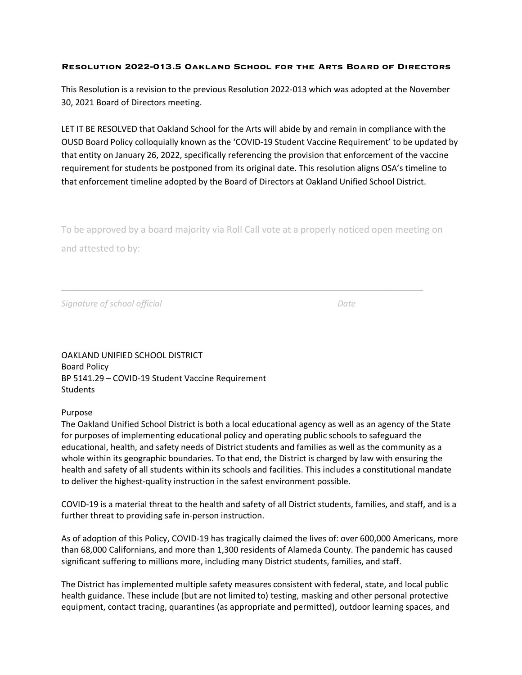## **Resolution 2022-013.5 Oakland School for the Arts Board of Directors**

This Resolution is a revision to the previous Resolution 2022-013 which was adopted at the November 30, 2021 Board of Directors meeting.

LET IT BE RESOLVED that Oakland School for the Arts will abide by and remain in compliance with the OUSD Board Policy colloquially known as the 'COVID-19 Student Vaccine Requirement' to be updated by that entity on January 26, 2022, specifically referencing the provision that enforcement of the vaccine requirement for students be postponed from its original date. This resolution aligns OSA's timeline to that enforcement timeline adopted by the Board of Directors at Oakland Unified School District.

To be approved by a board majority via Roll Call vote at a properly noticed open meeting on

and attested to by:

*Signature of school official Date*

OAKLAND UNIFIED SCHOOL DISTRICT Board Policy BP 5141.29 – COVID-19 Student Vaccine Requirement **Students** 

## Purpose

The Oakland Unified School District is both a local educational agency as well as an agency of the State for purposes of implementing educational policy and operating public schools to safeguard the educational, health, and safety needs of District students and families as well as the community as a whole within its geographic boundaries. To that end, the District is charged by law with ensuring the health and safety of all students within its schools and facilities. This includes a constitutional mandate to deliver the highest-quality instruction in the safest environment possible.

COVID-19 is a material threat to the health and safety of all District students, families, and staff, and is a further threat to providing safe in-person instruction.

As of adoption of this Policy, COVID-19 has tragically claimed the lives of: over 600,000 Americans, more than 68,000 Californians, and more than 1,300 residents of Alameda County. The pandemic has caused significant suffering to millions more, including many District students, families, and staff.

The District has implemented multiple safety measures consistent with federal, state, and local public health guidance. These include (but are not limited to) testing, masking and other personal protective equipment, contact tracing, quarantines (as appropriate and permitted), outdoor learning spaces, and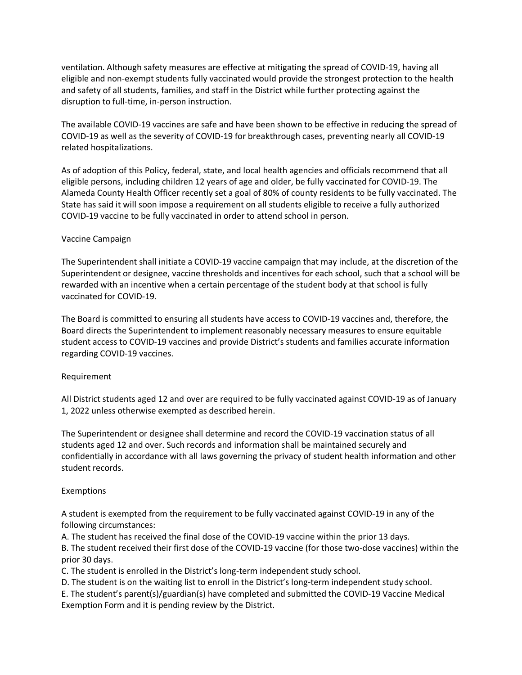ventilation. Although safety measures are effective at mitigating the spread of COVID-19, having all eligible and non-exempt students fully vaccinated would provide the strongest protection to the health and safety of all students, families, and staff in the District while further protecting against the disruption to full-time, in-person instruction.

The available COVID-19 vaccines are safe and have been shown to be effective in reducing the spread of COVID-19 as well as the severity of COVID-19 for breakthrough cases, preventing nearly all COVID-19 related hospitalizations.

As of adoption of this Policy, federal, state, and local health agencies and officials recommend that all eligible persons, including children 12 years of age and older, be fully vaccinated for COVID-19. The Alameda County Health Officer recently set a goal of 80% of county residents to be fully vaccinated. The State has said it will soon impose a requirement on all students eligible to receive a fully authorized COVID-19 vaccine to be fully vaccinated in order to attend school in person.

# Vaccine Campaign

The Superintendent shall initiate a COVID-19 vaccine campaign that may include, at the discretion of the Superintendent or designee, vaccine thresholds and incentives for each school, such that a school will be rewarded with an incentive when a certain percentage of the student body at that school is fully vaccinated for COVID-19.

The Board is committed to ensuring all students have access to COVID-19 vaccines and, therefore, the Board directs the Superintendent to implement reasonably necessary measures to ensure equitable student access to COVID-19 vaccines and provide District's students and families accurate information regarding COVID-19 vaccines.

## Requirement

All District students aged 12 and over are required to be fully vaccinated against COVID-19 as of January 1, 2022 unless otherwise exempted as described herein.

The Superintendent or designee shall determine and record the COVID-19 vaccination status of all students aged 12 and over. Such records and information shall be maintained securely and confidentially in accordance with all laws governing the privacy of student health information and other student records.

## Exemptions

A student is exempted from the requirement to be fully vaccinated against COVID-19 in any of the following circumstances:

A. The student has received the final dose of the COVID-19 vaccine within the prior 13 days.

B. The student received their first dose of the COVID-19 vaccine (for those two-dose vaccines) within the prior 30 days.

C. The student is enrolled in the District's long-term independent study school.

D. The student is on the waiting list to enroll in the District's long-term independent study school.

E. The student's parent(s)/guardian(s) have completed and submitted the COVID-19 Vaccine Medical Exemption Form and it is pending review by the District.